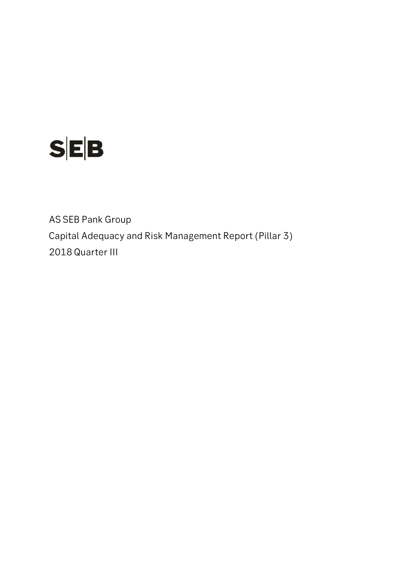

AS SEB Pank Group Capital Adequacy and Risk Management Report (Pillar 3) 2018 Quarter III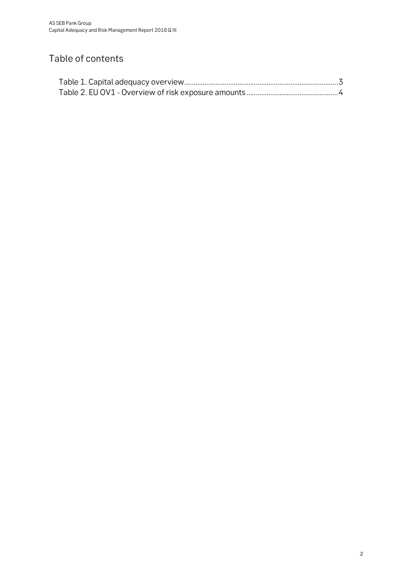## Table of contents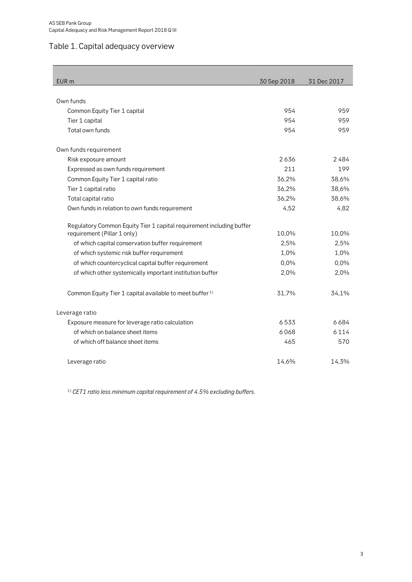## <span id="page-2-0"></span>Table 1. Capital adequacy overview

| EUR <sub>m</sub>                                                     | 30 Sep 2018 | 31 Dec 2017 |
|----------------------------------------------------------------------|-------------|-------------|
|                                                                      |             |             |
| Own funds                                                            |             |             |
| Common Equity Tier 1 capital                                         | 954         | 959         |
| Tier 1 capital                                                       | 954         | 959         |
| Total own funds                                                      | 954         | 959         |
| Own funds requirement                                                |             |             |
| Risk exposure amount                                                 | 2636        | 2484        |
| Expressed as own funds requirement                                   | 211         | 199         |
| Common Equity Tier 1 capital ratio                                   | 36,2%       | 38,6%       |
| Tier 1 capital ratio                                                 | 36,2%       | 38,6%       |
| Total capital ratio                                                  | 36,2%       | 38,6%       |
| Own funds in relation to own funds requirement                       | 4,52        | 4,82        |
| Regulatory Common Equity Tier 1 capital requirement including buffer |             |             |
| requirement (Pillar 1 only)                                          | 10,0%       | 10,0%       |
| of which capital conservation buffer requirement                     | 2,5%        | 2,5%        |
| of which systemic risk buffer requirement                            | 1,0%        | 1,0%        |
| of which countercyclical capital buffer requirement                  | 0,0%        | 0,0%        |
| of which other systemically important institution buffer             | 2,0%        | 2,0%        |
| Common Equity Tier 1 capital available to meet buffer <sup>1)</sup>  | 31,7%       | 34,1%       |
| Leverage ratio                                                       |             |             |
| Exposure measure for leverage ratio calculation                      | 6533        | 6684        |
| of which on balance sheet items                                      | 6068        | 6114        |
| of which off balance sheet items                                     | 465         | 570         |
| Leverage ratio                                                       | 14,6%       | 14,3%       |

*1) CET1 ratio less minimum capital requirement of 4.5% excluding buffers.*